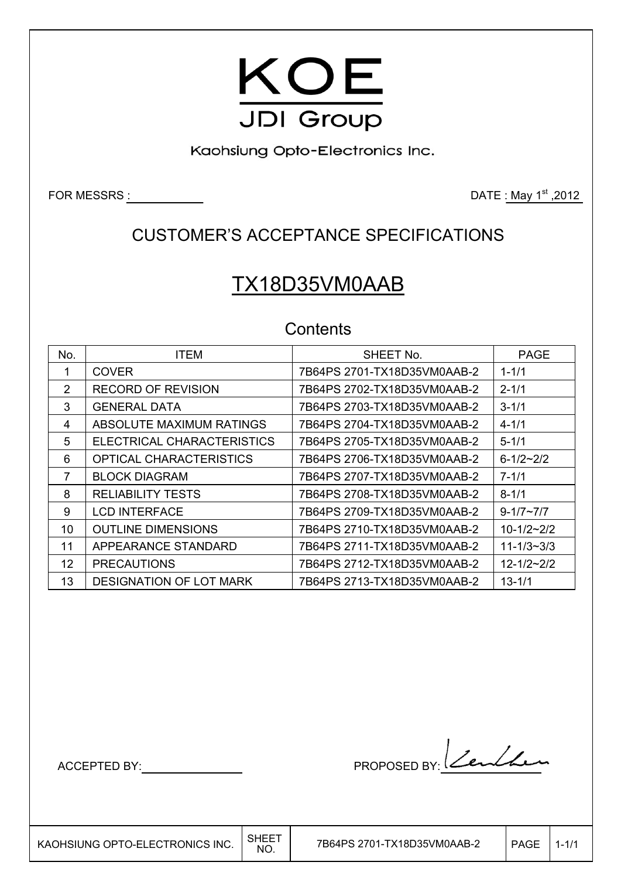

Kaohsiung Opto-Electronics Inc.

FOR MESSRS  $\underline{\hspace{1cm}}$  2012

## CUSTOMER'S ACCEPTANCE SPECIFICATIONS

# TX18D35VM0AAB

### **Contents**

| No. | <b>ITEM</b>                    | SHEET No.                   | <b>PAGE</b>      |
|-----|--------------------------------|-----------------------------|------------------|
|     | <b>COVER</b>                   | 7B64PS 2701-TX18D35VM0AAB-2 | $1 - 1/1$        |
| 2   | <b>RECORD OF REVISION</b>      | 7B64PS 2702-TX18D35VM0AAB-2 | $2 - 1/1$        |
| 3   | GENERAL DATA                   | 7B64PS 2703-TX18D35VM0AAB-2 | $3 - 1/1$        |
| 4   | ABSOLUTE MAXIMUM RATINGS       | 7B64PS 2704-TX18D35VM0AAB-2 | $4 - 1/1$        |
| 5   | ELECTRICAL CHARACTERISTICS     | 7B64PS 2705-TX18D35VM0AAB-2 | $5 - 1/1$        |
| 6   | OPTICAL CHARACTERISTICS        | 7B64PS 2706-TX18D35VM0AAB-2 | $6 - 1/2 - 2/2$  |
| 7   | <b>BLOCK DIAGRAM</b>           | 7B64PS 2707-TX18D35VM0AAB-2 | $7 - 1/1$        |
| 8   | <b>RELIABILITY TESTS</b>       | 7B64PS 2708-TX18D35VM0AAB-2 | $8 - 1/1$        |
| 9   | <b>LCD INTERFACE</b>           | 7B64PS 2709-TX18D35VM0AAB-2 | $9 - 1/7 - 7/7$  |
| 10  | <b>OUTLINE DIMENSIONS</b>      | 7B64PS 2710-TX18D35VM0AAB-2 | $10 - 1/2 - 2/2$ |
| 11  | APPEARANCE STANDARD            | 7B64PS 2711-TX18D35VM0AAB-2 | $11 - 1/3 - 3/3$ |
| 12  | <b>PRECAUTIONS</b>             | 7B64PS 2712-TX18D35VM0AAB-2 | $12 - 1/2 - 2/2$ |
| 13  | <b>DESIGNATION OF LOT MARK</b> | 7B64PS 2713-TX18D35VM0AAB-2 | $13 - 1/1$       |

 $\overline{\phantom{a}}$ 

ACCEPTED BY: MODEL BY: Lendle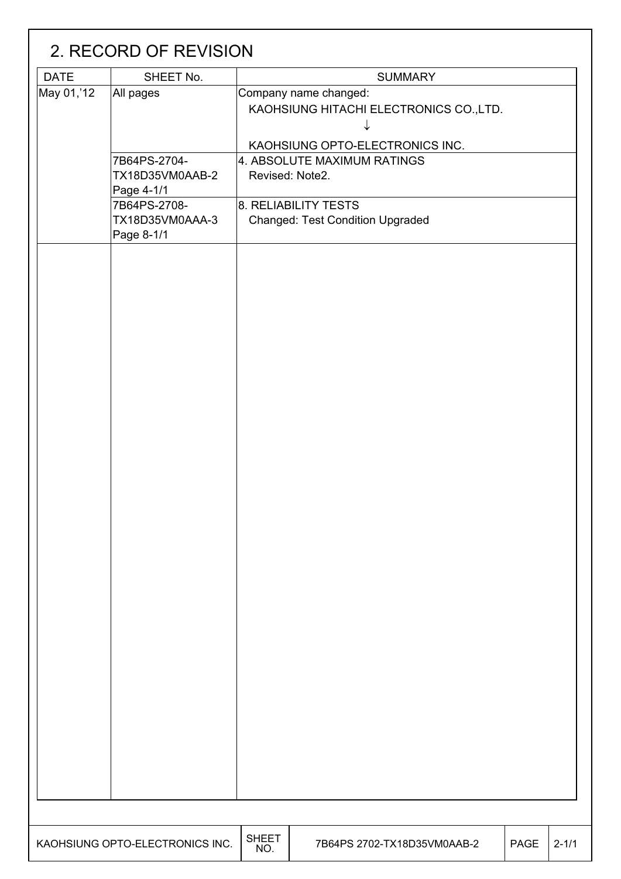|             | 2. RECORD OF REVISION                         |                     |                                                                  |             |           |
|-------------|-----------------------------------------------|---------------------|------------------------------------------------------------------|-------------|-----------|
| <b>DATE</b> | SHEET No.                                     |                     | <b>SUMMARY</b>                                                   |             |           |
| May 01,'12  | All pages                                     |                     | Company name changed:<br>KAOHSIUNG HITACHI ELECTRONICS CO., LTD. |             |           |
|             |                                               |                     | KAOHSIUNG OPTO-ELECTRONICS INC.                                  |             |           |
|             | 7B64PS-2704-<br>TX18D35VM0AAB-2<br>Page 4-1/1 |                     | 4. ABSOLUTE MAXIMUM RATINGS<br>Revised: Note2.                   |             |           |
|             | 7B64PS-2708-<br>TX18D35VM0AAA-3<br>Page 8-1/1 |                     | 8. RELIABILITY TESTS<br><b>Changed: Test Condition Upgraded</b>  |             |           |
|             |                                               |                     |                                                                  |             |           |
|             |                                               |                     |                                                                  |             |           |
|             |                                               |                     |                                                                  |             |           |
|             |                                               |                     |                                                                  |             |           |
|             |                                               |                     |                                                                  |             |           |
|             | KAOHSIUNG OPTO-ELECTRONICS INC.               | <b>SHEET</b><br>NO. | 7B64PS 2702-TX18D35VM0AAB-2                                      | <b>PAGE</b> | $2 - 1/1$ |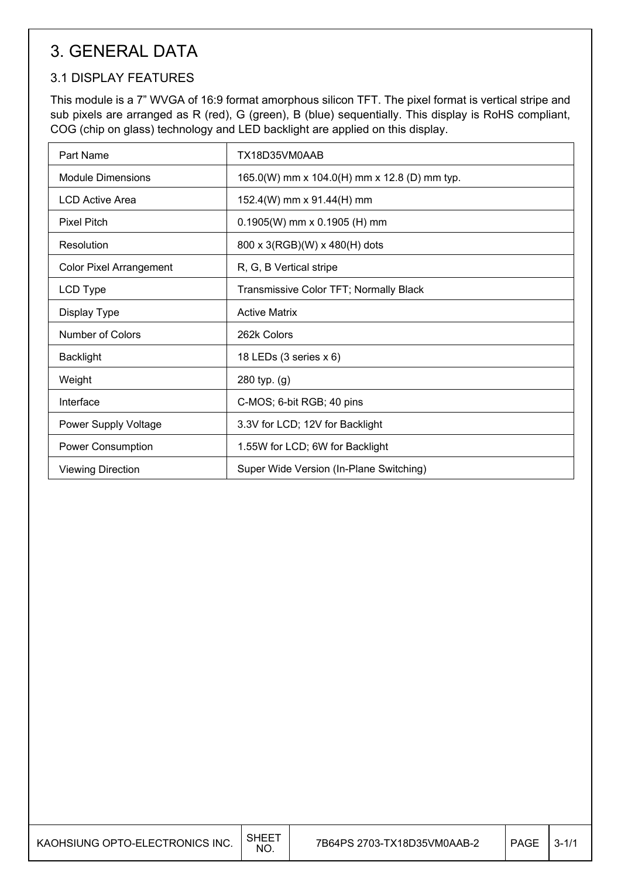# 3. GENERAL DATA

### 3.1 DISPLAY FEATURES

This module is a 7" WVGA of 16:9 format amorphous silicon TFT. The pixel format is vertical stripe and sub pixels are arranged as R (red), G (green), B (blue) sequentially. This display is RoHS compliant, COG (chip on glass) technology and LED backlight are applied on this display.

| Part Name                      | TX18D35VM0AAB                                |
|--------------------------------|----------------------------------------------|
| <b>Module Dimensions</b>       | 165.0(W) mm x 104.0(H) mm x 12.8 (D) mm typ. |
| <b>LCD Active Area</b>         | 152.4(W) mm x 91.44(H) mm                    |
| <b>Pixel Pitch</b>             | $0.1905(W)$ mm x 0.1905 (H) mm               |
| Resolution                     | 800 x 3(RGB)(W) x 480(H) dots                |
| <b>Color Pixel Arrangement</b> | R, G, B Vertical stripe                      |
| LCD Type                       | Transmissive Color TFT; Normally Black       |
| Display Type                   | <b>Active Matrix</b>                         |
| Number of Colors               | 262k Colors                                  |
| <b>Backlight</b>               | 18 LEDs (3 series x 6)                       |
| Weight                         | 280 typ. (g)                                 |
| Interface                      | C-MOS; 6-bit RGB; 40 pins                    |
| Power Supply Voltage           | 3.3V for LCD; 12V for Backlight              |
| <b>Power Consumption</b>       | 1.55W for LCD; 6W for Backlight              |
| <b>Viewing Direction</b>       | Super Wide Version (In-Plane Switching)      |

| KAOHSIUNG OPTO-ELECTRONICS INC. | SHEE <sup>-</sup><br>NO. | 7B64PS 2703-TX18D35VM0AAB-2 | PAGE | $3 - 1/1$ |
|---------------------------------|--------------------------|-----------------------------|------|-----------|
|---------------------------------|--------------------------|-----------------------------|------|-----------|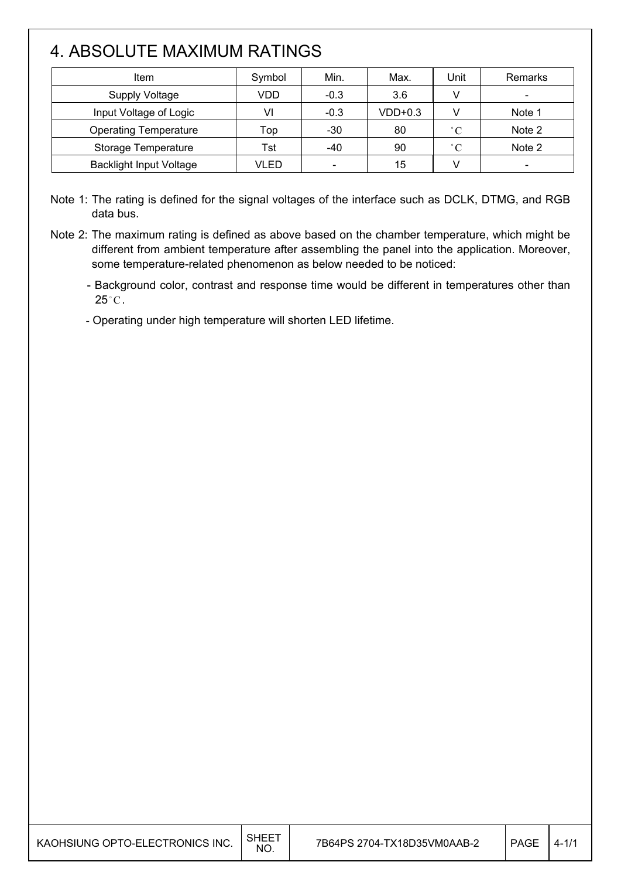# 4. ABSOLUTE MAXIMUM RATINGS

| Item                           | Symbol | Min.                     | Max.      | Unit         | Remarks                      |
|--------------------------------|--------|--------------------------|-----------|--------------|------------------------------|
| <b>Supply Voltage</b>          | VDD    | $-0.3$                   | 3.6       |              |                              |
| Input Voltage of Logic         | VI     | $-0.3$                   | $VDD+0.3$ |              | Note 1                       |
| <b>Operating Temperature</b>   | Top    | $-30$                    | 80        | $^{\circ}$ C | Note 2                       |
| Storage Temperature            | Tst    | $-40$                    | 90        | $^{\circ}$ C | Note 2                       |
| <b>Backlight Input Voltage</b> | VLED   | $\overline{\phantom{0}}$ | 15        |              | $\qquad \qquad \blacksquare$ |

Note 1: The rating is defined for the signal voltages of the interface such as DCLK, DTMG, and RGB data bus.

- Note 2: The maximum rating is defined as above based on the chamber temperature, which might be different from ambient temperature after assembling the panel into the application. Moreover, some temperature-related phenomenon as below needed to be noticed:
	- Background color, contrast and response time would be different in temperatures other than  $25^{\circ}$ C.
	- Operating under high temperature will shorten LED lifetime.

| KAOHSIUNG OPTO-ELECTRONICS INC. | <b>SHEET</b><br><b>NO</b> | 7B64PS 2704-TX18D35VM0AAB-2 | <b>PAGE</b> | $4 - 1/1$ |
|---------------------------------|---------------------------|-----------------------------|-------------|-----------|
|---------------------------------|---------------------------|-----------------------------|-------------|-----------|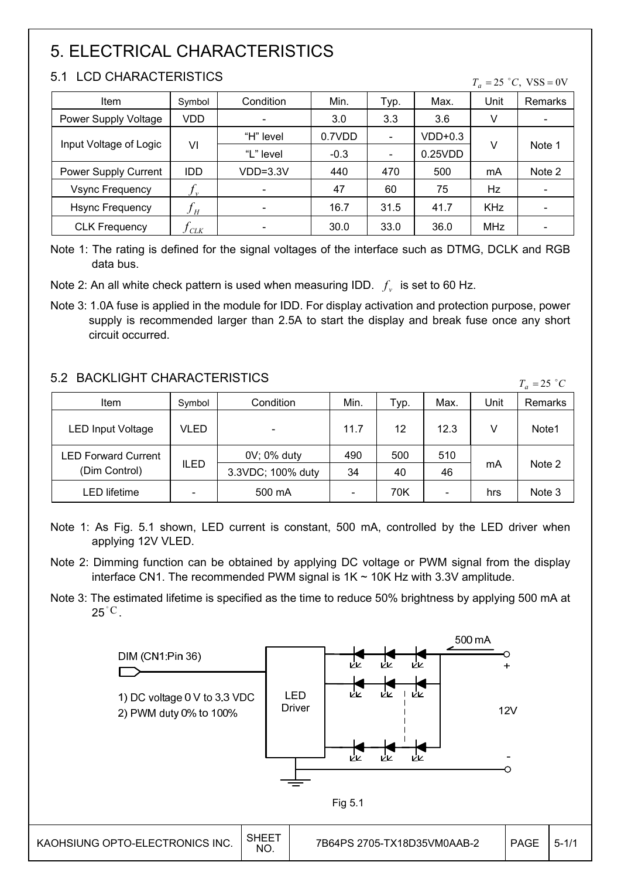# 5. ELECTRICAL CHARACTERISTICS

### 5.1 LCD CHARACTERISTICS

 $T_a = 25 °C$ , VSS = 0V

| Item                        | Symbol                     | Condition                    | Min.   | Typ.                         | Max.      | Unit       | <b>Remarks</b>               |
|-----------------------------|----------------------------|------------------------------|--------|------------------------------|-----------|------------|------------------------------|
| Power Supply Voltage        | VDD                        | $\overline{\phantom{0}}$     | 3.0    | 3.3                          | 3.6       | V          | $\overline{\phantom{a}}$     |
|                             |                            | "H" level                    | 0.7VDD | $\qquad \qquad \blacksquare$ | $VDD+0.3$ |            |                              |
| Input Voltage of Logic      | VI                         | "L" level                    | $-0.3$ | $\overline{\phantom{a}}$     | 0.25VDD   | V          | Note 1                       |
| <b>Power Supply Current</b> | <b>IDD</b>                 | VDD=3.3V                     | 440    | 470                          | 500       | mA         | Note 2                       |
| <b>Vsync Frequency</b>      | $J_{v}$                    | $\overline{\phantom{a}}$     | 47     | 60                           | 75        | Hz         | -                            |
| <b>Hsync Frequency</b>      | $f_{\scriptscriptstyle H}$ |                              | 16.7   | 31.5                         | 41.7      | <b>KHz</b> |                              |
| <b>CLK Frequency</b>        | CLK                        | $\qquad \qquad \blacksquare$ | 30.0   | 33.0                         | 36.0      | MHz        | $\qquad \qquad \blacksquare$ |

Note 1: The rating is defined for the signal voltages of the interface such as DTMG, DCLK and RGB data bus.

Note 2: An all white check pattern is used when measuring IDD.  $f<sub>v</sub>$  is set to 60 Hz.

Note 3: 1.0A fuse is applied in the module for IDD. For display activation and protection purpose, power supply is recommended larger than 2.5A to start the display and break fuse once any short circuit occurred.

### 5.2 BACKLIGHT CHARACTERISTICS

| 9.2 DAUNLIUM UMARAUTERISTIUS |             |                   |      |      |      |      | $T_a = 25$ °C |
|------------------------------|-------------|-------------------|------|------|------|------|---------------|
| Item                         | Symbol      | Condition         | Min. | Typ. | Max. | Unit | Remarks       |
| <b>LED Input Voltage</b>     | VLED        |                   | 11.7 | 12   | 12.3 |      | Note1         |
| LED Forward Current          |             | 0V; 0% duty       | 490  | 500  | 510  |      |               |
| (Dim Control)                | <b>ILED</b> | 3.3VDC; 100% duty | 34   | 40   | 46   | mA   | Note 2        |
| LED lifetime                 |             | 500 mA            |      | 70K  | -    | hrs  | Note 3        |

- Note 1: As Fig. 5.1 shown, LED current is constant, 500 mA, controlled by the LED driver when applying 12V VLED.
- Note 2: Dimming function can be obtained by applying DC voltage or PWM signal from the display interface CN1. The recommended PWM signal is  $1K \sim 10K$  Hz with 3.3V amplitude.
- Note 3: The estimated lifetime is specified as the time to reduce 50% brightness by applying 500 mA at  $25\degree{\rm C}$  .

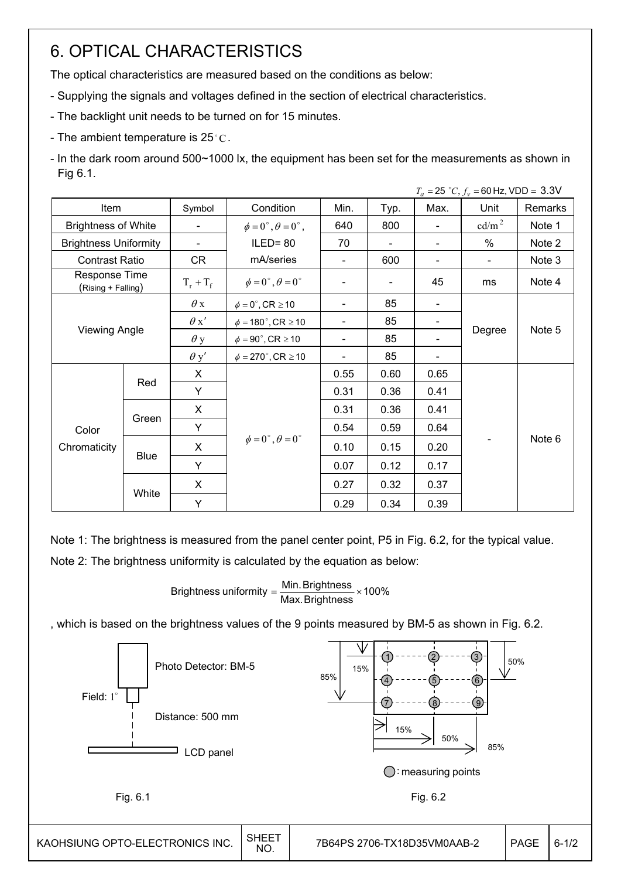# 6. OPTICAL CHARACTERISTICS

The optical characteristics are measured based on the conditions as below:

- Supplying the signals and voltages defined in the section of electrical characteristics.
- The backlight unit needs to be turned on for 15 minutes.
- The ambient temperature is  $25^{\circ}$ C.
- In the dark room around 500~1000 lx, the equipment has been set for the measurements as shown in Fig 6.1.

|                                     |                      |                          |                                          |                          |      |      | $T_a = 25 °C, f_v = 60 Hz, VDD = 3.3 V$ |         |
|-------------------------------------|----------------------|--------------------------|------------------------------------------|--------------------------|------|------|-----------------------------------------|---------|
| Item                                |                      | Symbol                   | Condition                                | Min.                     | Typ. | Max. | Unit                                    | Remarks |
| <b>Brightness of White</b>          |                      | $\overline{\phantom{a}}$ | $\phi = 0^{\circ}, \theta = 0^{\circ}$ , | 640                      | 800  |      | $\text{cd/m}^2$                         | Note 1  |
| <b>Brightness Uniformity</b>        |                      | $\overline{\phantom{a}}$ | $ILED = 80$                              | 70                       |      |      | $\%$                                    | Note 2  |
| <b>Contrast Ratio</b>               |                      | CR                       | mA/series                                | $\blacksquare$           | 600  |      | $\overline{\phantom{0}}$                | Note 3  |
| Response Time<br>(Rising + Falling) |                      | $T_r + T_f$              | $\phi = 0^{\circ}, \theta = 0^{\circ}$   |                          |      | 45   | ms                                      | Note 4  |
|                                     |                      | $\theta$ x               | $\phi = 0^\circ$ , CR $\geq 10$          | $\overline{\phantom{a}}$ | 85   |      |                                         |         |
|                                     |                      | $\theta x'$              | $\phi = 180^\circ$ , CR $\geq 10$        |                          | 85   |      |                                         |         |
|                                     | <b>Viewing Angle</b> |                          | $\phi = 90^{\circ}$ , CR $\geq 10$       |                          | 85   |      | Degree                                  | Note 5  |
|                                     |                      | $\theta$ y'              | $\phi = 270^\circ$ , CR $\geq 10$        |                          | 85   |      |                                         |         |
|                                     |                      | X                        |                                          | 0.55                     | 0.60 | 0.65 |                                         |         |
|                                     | Red                  | Y                        |                                          | 0.31                     | 0.36 | 0.41 |                                         |         |
|                                     |                      | X                        |                                          | 0.31                     | 0.36 | 0.41 |                                         |         |
| Color                               | Green                | Y                        |                                          | 0.54                     | 0.59 | 0.64 |                                         |         |
| Chromaticity                        |                      | X                        | $\phi = 0^{\circ}, \theta = 0^{\circ}$   | 0.10                     | 0.15 | 0.20 |                                         | Note 6  |
|                                     | <b>Blue</b>          | Y                        |                                          | 0.07                     | 0.12 | 0.17 |                                         |         |
|                                     |                      | X                        |                                          | 0.27                     | 0.32 | 0.37 |                                         |         |
|                                     | White                | Y                        |                                          | 0.29                     | 0.34 | 0.39 |                                         |         |

Note 1: The brightness is measured from the panel center point, P5 in Fig. 6.2, for the typical value.

Note 2: The brightness uniformity is calculated by the equation as below:

Brightness uniformity  $=\dfrac{\mathsf{Min}.\mathsf{Brightness}}{\mathsf{Max}.\mathsf{Brightness}}\times\mathsf{100\%}$ 

, which is based on the brightness values of the 9 points measured by BM-5 as shown in Fig. 6.2.

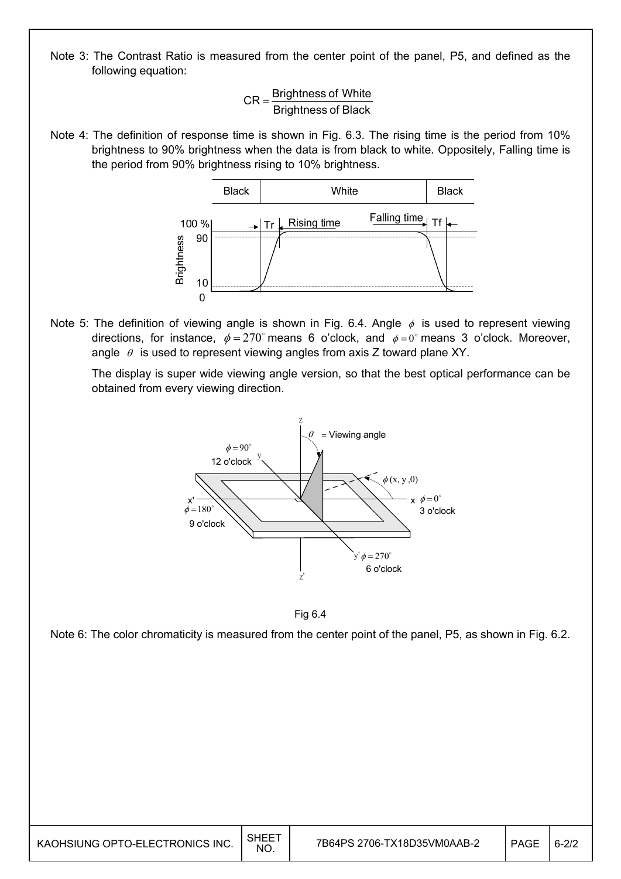Note 3: The Contrast Ratio is measured from the center point of the panel, P5, and defined as the following equation:

> Brightness of Black  $CR =$ Brightness of White

Note 4: The definition of response time is shown in Fig. 6.3. The rising time is the period from 10% brightness to 90% brightness when the data is from black to white. Oppositely, Falling time is the period from 90% brightness rising to 10% brightness.



Note 5: The definition of viewing angle is shown in Fig. 6.4. Angle  $\phi$  is used to represent viewing directions, for instance,  $\phi = 270^\circ$  means 6 o'clock, and  $\phi = 0^\circ$  means 3 o'clock. Moreover, angle  $\theta$  is used to represent viewing angles from axis Z toward plane XY.

 The display is super wide viewing angle version, so that the best optical performance can be obtained from every viewing direction.





Note 6: The color chromaticity is measured from the center point of the panel, P5, as shown in Fig. 6.2.

| KAOHSIUNG OPTO-ELECTRONICS INC. | SHEE <sup>T</sup><br><b>NO</b> | 7B64PS 2706-TX18D35VM0AAB-2 | <b>PAGE</b> | $6 - 21$ |
|---------------------------------|--------------------------------|-----------------------------|-------------|----------|
|---------------------------------|--------------------------------|-----------------------------|-------------|----------|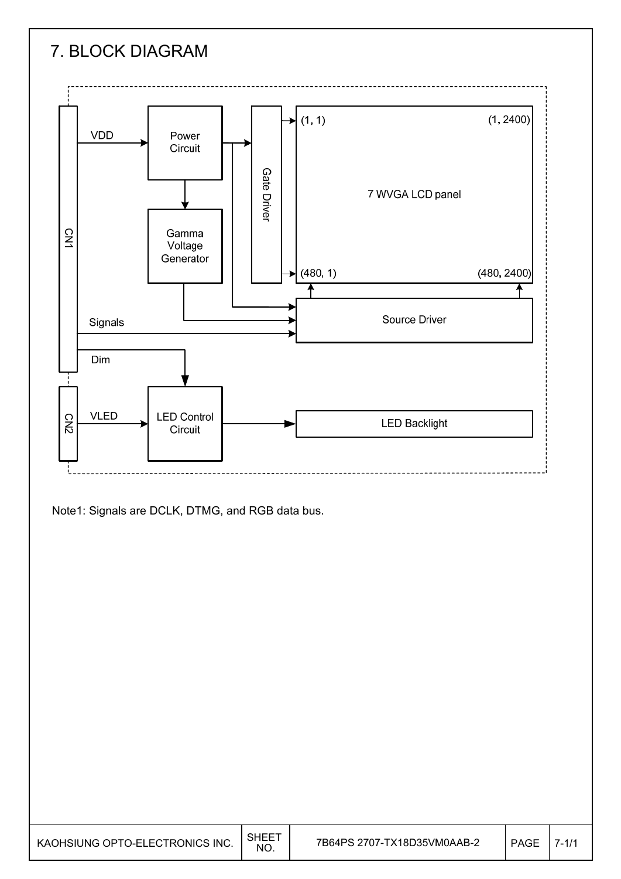

Note1: Signals are DCLK, DTMG, and RGB data bus.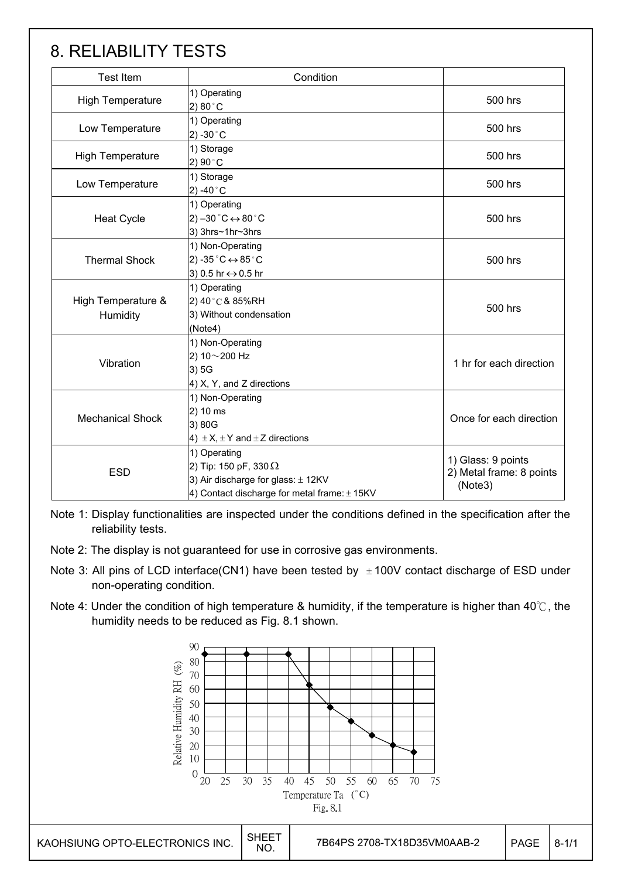# 8. RELIABILITY TESTS

| <b>Test Item</b>                                                                       | Condition                                                                                                                              |                         |  |  |
|----------------------------------------------------------------------------------------|----------------------------------------------------------------------------------------------------------------------------------------|-------------------------|--|--|
| <b>High Temperature</b>                                                                | 1) Operating<br>2) 80 $^{\circ}$ C                                                                                                     | 500 hrs                 |  |  |
| Low Temperature                                                                        | 1) Operating<br>2) -30 $^{\circ}$ C                                                                                                    | 500 hrs                 |  |  |
| <b>High Temperature</b>                                                                | 1) Storage<br>2) $90^{\circ}$ C                                                                                                        | 500 hrs                 |  |  |
| Low Temperature                                                                        | 1) Storage<br>2) -40 $^{\circ}$ C                                                                                                      | 500 hrs                 |  |  |
| <b>Heat Cycle</b>                                                                      | 1) Operating<br>2) $-30\degree C \leftrightarrow 80\degree C$<br>3) 3hrs~1hr~3hrs                                                      | 500 hrs                 |  |  |
| <b>Thermal Shock</b>                                                                   | 1) Non-Operating<br>2) -35 $^{\circ}$ C $\leftrightarrow$ 85 $^{\circ}$ C<br>3) 0.5 hr ↔ 0.5 hr                                        | 500 hrs                 |  |  |
| High Temperature &<br>Humidity                                                         | 1) Operating<br>2) 40°C & 85%RH<br>3) Without condensation<br>(Note4)                                                                  | 500 hrs                 |  |  |
| 1) Non-Operating<br>2) $10 - 200$ Hz<br>Vibration<br>3)5G<br>4) X, Y, and Z directions |                                                                                                                                        | 1 hr for each direction |  |  |
| <b>Mechanical Shock</b>                                                                | 1) Non-Operating<br>2) 10 ms<br>3) 80G<br>4) $\pm$ X, $\pm$ Y and $\pm$ Z directions                                                   | Once for each direction |  |  |
| <b>ESD</b>                                                                             | 1) Operating<br>2) Tip: 150 pF, 330 $\Omega$<br>3) Air discharge for glass: ± 12KV<br>4) Contact discharge for metal frame: $\pm$ 15KV |                         |  |  |

Note 1: Display functionalities are inspected under the conditions defined in the specification after the reliability tests.

Note 2: The display is not guaranteed for use in corrosive gas environments.

- Note 3: All pins of LCD interface(CN1) have been tested by  $\pm$  100V contact discharge of ESD under non-operating condition.
- Note 4: Under the condition of high temperature & humidity, if the temperature is higher than 40 $\degree$ C, the humidity needs to be reduced as Fig. 8.1 shown.

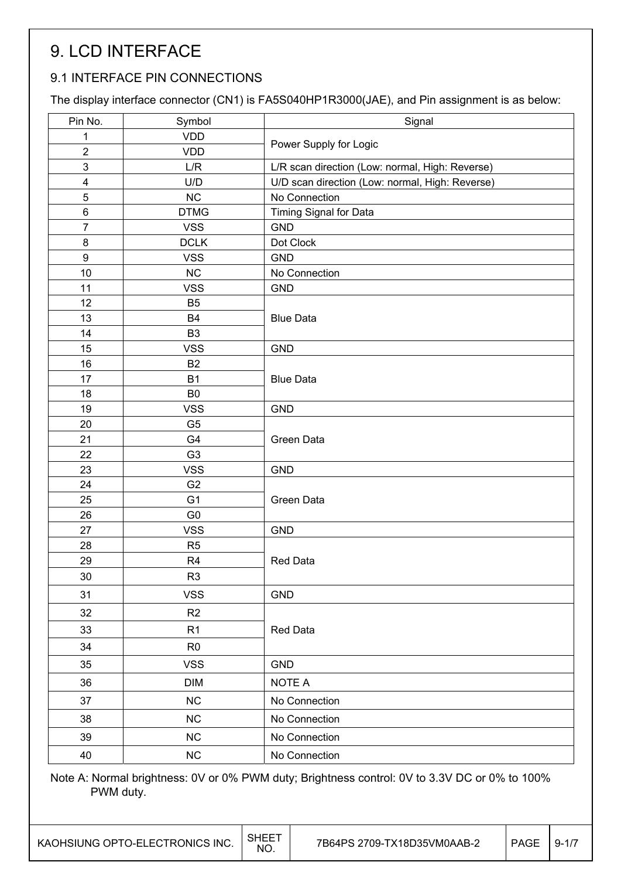# 9. LCD INTERFACE

### 9.1 INTERFACE PIN CONNECTIONS

The display interface connector (CN1) is FA5S040HP1R3000(JAE), and Pin assignment is as below:

| Symbol     | Signal                                                                                                                                                                                                                                                                                                                                                                                                                                                                                                                  |  |  |
|------------|-------------------------------------------------------------------------------------------------------------------------------------------------------------------------------------------------------------------------------------------------------------------------------------------------------------------------------------------------------------------------------------------------------------------------------------------------------------------------------------------------------------------------|--|--|
|            | Power Supply for Logic                                                                                                                                                                                                                                                                                                                                                                                                                                                                                                  |  |  |
|            | L/R scan direction (Low: normal, High: Reverse)                                                                                                                                                                                                                                                                                                                                                                                                                                                                         |  |  |
|            |                                                                                                                                                                                                                                                                                                                                                                                                                                                                                                                         |  |  |
|            | U/D scan direction (Low: normal, High: Reverse)                                                                                                                                                                                                                                                                                                                                                                                                                                                                         |  |  |
|            | No Connection                                                                                                                                                                                                                                                                                                                                                                                                                                                                                                           |  |  |
|            | Timing Signal for Data                                                                                                                                                                                                                                                                                                                                                                                                                                                                                                  |  |  |
|            | <b>GND</b>                                                                                                                                                                                                                                                                                                                                                                                                                                                                                                              |  |  |
|            | Dot Clock                                                                                                                                                                                                                                                                                                                                                                                                                                                                                                               |  |  |
|            | <b>GND</b>                                                                                                                                                                                                                                                                                                                                                                                                                                                                                                              |  |  |
|            | No Connection                                                                                                                                                                                                                                                                                                                                                                                                                                                                                                           |  |  |
|            | <b>GND</b>                                                                                                                                                                                                                                                                                                                                                                                                                                                                                                              |  |  |
|            |                                                                                                                                                                                                                                                                                                                                                                                                                                                                                                                         |  |  |
|            | <b>Blue Data</b>                                                                                                                                                                                                                                                                                                                                                                                                                                                                                                        |  |  |
|            |                                                                                                                                                                                                                                                                                                                                                                                                                                                                                                                         |  |  |
|            | <b>GND</b>                                                                                                                                                                                                                                                                                                                                                                                                                                                                                                              |  |  |
|            |                                                                                                                                                                                                                                                                                                                                                                                                                                                                                                                         |  |  |
|            | <b>Blue Data</b>                                                                                                                                                                                                                                                                                                                                                                                                                                                                                                        |  |  |
|            |                                                                                                                                                                                                                                                                                                                                                                                                                                                                                                                         |  |  |
|            | <b>GND</b>                                                                                                                                                                                                                                                                                                                                                                                                                                                                                                              |  |  |
|            |                                                                                                                                                                                                                                                                                                                                                                                                                                                                                                                         |  |  |
|            | Green Data                                                                                                                                                                                                                                                                                                                                                                                                                                                                                                              |  |  |
|            | <b>GND</b>                                                                                                                                                                                                                                                                                                                                                                                                                                                                                                              |  |  |
|            |                                                                                                                                                                                                                                                                                                                                                                                                                                                                                                                         |  |  |
|            | Green Data                                                                                                                                                                                                                                                                                                                                                                                                                                                                                                              |  |  |
|            |                                                                                                                                                                                                                                                                                                                                                                                                                                                                                                                         |  |  |
|            | <b>GND</b>                                                                                                                                                                                                                                                                                                                                                                                                                                                                                                              |  |  |
|            |                                                                                                                                                                                                                                                                                                                                                                                                                                                                                                                         |  |  |
|            | <b>Red Data</b>                                                                                                                                                                                                                                                                                                                                                                                                                                                                                                         |  |  |
|            |                                                                                                                                                                                                                                                                                                                                                                                                                                                                                                                         |  |  |
|            | <b>GND</b>                                                                                                                                                                                                                                                                                                                                                                                                                                                                                                              |  |  |
|            |                                                                                                                                                                                                                                                                                                                                                                                                                                                                                                                         |  |  |
|            | Red Data                                                                                                                                                                                                                                                                                                                                                                                                                                                                                                                |  |  |
|            |                                                                                                                                                                                                                                                                                                                                                                                                                                                                                                                         |  |  |
|            | <b>GND</b>                                                                                                                                                                                                                                                                                                                                                                                                                                                                                                              |  |  |
| <b>DIM</b> | NOTE A                                                                                                                                                                                                                                                                                                                                                                                                                                                                                                                  |  |  |
| NC         | No Connection                                                                                                                                                                                                                                                                                                                                                                                                                                                                                                           |  |  |
| NC         | No Connection                                                                                                                                                                                                                                                                                                                                                                                                                                                                                                           |  |  |
| NC         | No Connection                                                                                                                                                                                                                                                                                                                                                                                                                                                                                                           |  |  |
| NC         | No Connection                                                                                                                                                                                                                                                                                                                                                                                                                                                                                                           |  |  |
|            | <b>VDD</b><br><b>VDD</b><br>L/R<br>U/D<br><b>NC</b><br><b>DTMG</b><br><b>VSS</b><br><b>DCLK</b><br><b>VSS</b><br>NC<br><b>VSS</b><br>B <sub>5</sub><br><b>B4</b><br>B <sub>3</sub><br><b>VSS</b><br>B <sub>2</sub><br><b>B1</b><br>B <sub>0</sub><br><b>VSS</b><br>G <sub>5</sub><br>G4<br>G <sub>3</sub><br><b>VSS</b><br>G <sub>2</sub><br>G <sub>1</sub><br>G <sub>0</sub><br><b>VSS</b><br>R <sub>5</sub><br>R <sub>4</sub><br>R <sub>3</sub><br><b>VSS</b><br>R2<br>R <sub>1</sub><br>R <sub>0</sub><br><b>VSS</b> |  |  |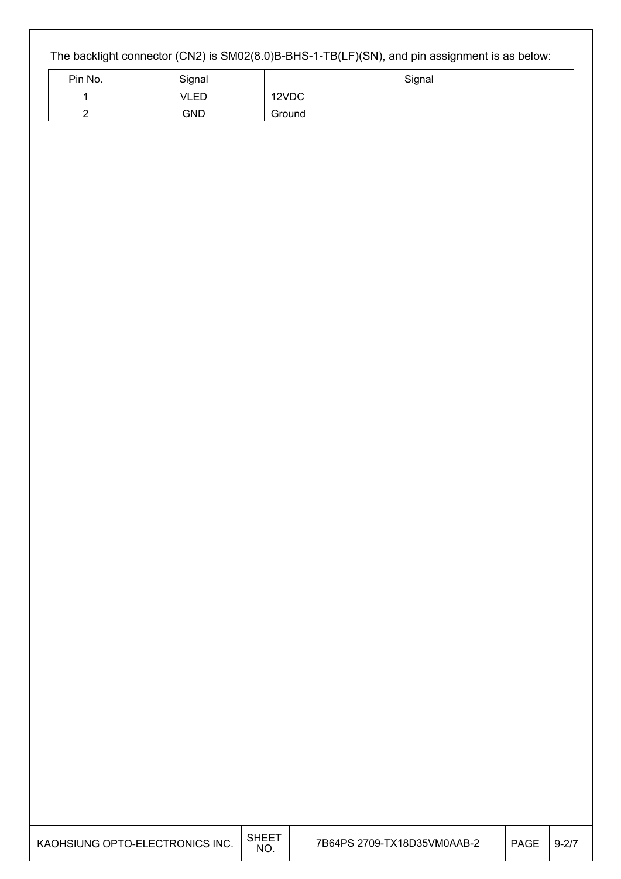### The backlight connector (CN2) is SM02(8.0)B-BHS-1-TB(LF)(SN), and pin assignment is as below:

| Pin No. | Signal     | Signal |
|---------|------------|--------|
|         | VLED       | 12VDC  |
|         | <b>GND</b> | Ground |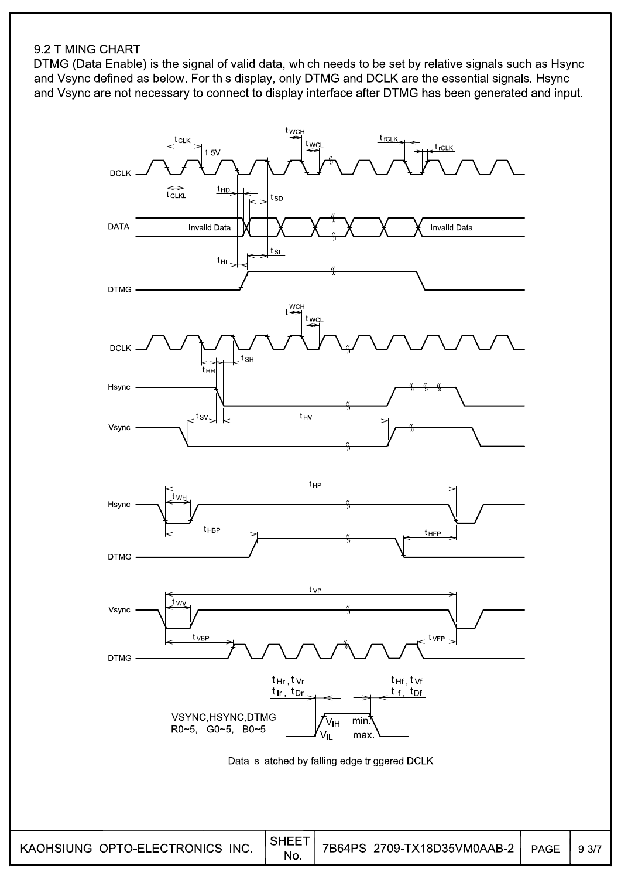#### 9.2 TIMING CHART

DTMG (Data Enable) is the signal of valid data, which needs to be set by relative signals such as Hsync and Vsync defined as below. For this display, only DTMG and DCLK are the essential signals. Hsync and Vsync are not necessary to connect to display interface after DTMG has been generated and input.



 $9 - 3/7$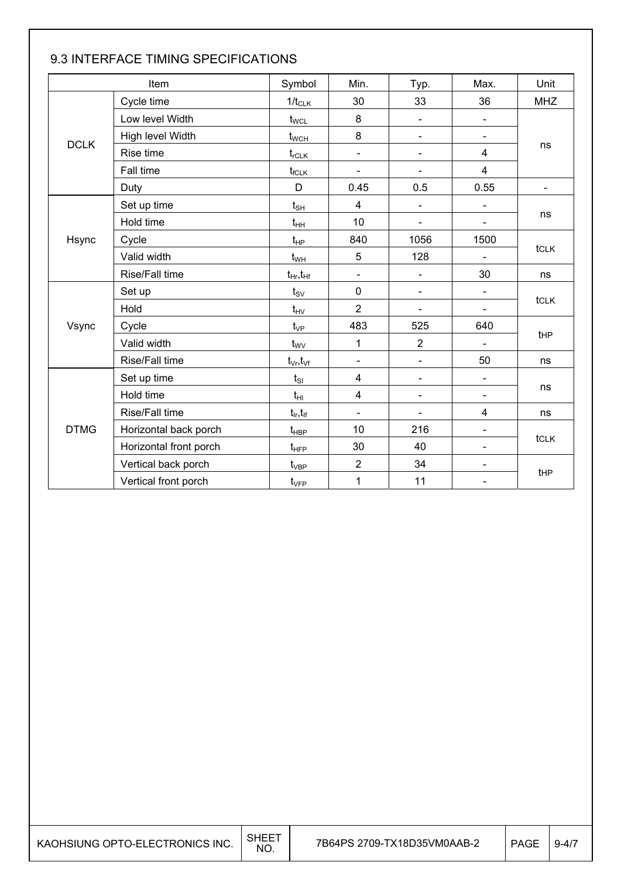|                        | Item                     | Symbol                            | Min.                     | Typ.                     | Max.                         | Unit            |  |
|------------------------|--------------------------|-----------------------------------|--------------------------|--------------------------|------------------------------|-----------------|--|
|                        | Cycle time               | $1/t_{CLK}$                       | 30                       | 33                       | 36                           | <b>MHZ</b>      |  |
|                        | Low level Width          | $t_{\text{WCL}}$                  | 8                        | $\blacksquare$           | $\blacksquare$               |                 |  |
|                        | High level Width         | $t_{\text{WCH}}$                  | 8                        | $\overline{\phantom{a}}$ | $\blacksquare$               |                 |  |
|                        | <b>DCLK</b><br>Rise time |                                   | $\blacksquare$           | $\blacksquare$           | 4                            | ns              |  |
|                        | Fall time                | $t_{fCLK}$                        | $\blacksquare$           | $\overline{\phantom{0}}$ | 4                            |                 |  |
|                        | Duty                     | D                                 | 0.45                     | 0.5                      | 0.55                         | ÷,              |  |
|                        | Set up time              | $t_{\scriptstyle\text{SH}}$       | 4                        |                          |                              |                 |  |
|                        | Hold time                | $t_{HH}$                          | 10                       |                          |                              | ns              |  |
| Hsync                  | Cycle                    | $t_{HP}$                          | 840                      | 1056                     | 1500                         |                 |  |
|                        | Valid width              | $t_{WH}$                          | 5                        | 128                      |                              | tclk            |  |
|                        | Rise/Fall time           | $t_{Hr}$ , $t_{Hf}$               | $\overline{\phantom{a}}$ | $\overline{\phantom{a}}$ | 30                           | ns              |  |
|                        | Set up                   | $t_{\scriptscriptstyle\text{SV}}$ | 0                        | $\blacksquare$           | $\qquad \qquad \blacksquare$ |                 |  |
|                        | Hold                     | $t_{\text{HV}}$                   | $\overline{2}$           | $\blacksquare$           | Ξ.                           | tclk            |  |
| Vsync                  | Cycle                    | $t_{VP}$                          | 483                      | 525                      | 640                          |                 |  |
|                        | Valid width              | $t_{\rm WV}$                      | 1                        | $\overline{2}$           | $\overline{\phantom{0}}$     | t <sub>HP</sub> |  |
|                        | Rise/Fall time           | $t_{\vee r}, t_{\vee f}$          | $\overline{\phantom{a}}$ | $\blacksquare$           | 50                           | ns              |  |
|                        | Set up time              | $t_{SI}$                          | 4                        | $\blacksquare$           | ÷,                           |                 |  |
|                        | Hold time                | $t_{HI}$                          | $\overline{\mathbf{4}}$  | $\blacksquare$           | $\overline{\phantom{0}}$     | ns              |  |
|                        | Rise/Fall time           |                                   | $\blacksquare$           | $\blacksquare$           | 4                            | ns              |  |
| <b>DTMG</b>            | Horizontal back porch    | $t_{\sf HBP}$                     | 10                       | 216                      | $\overline{\phantom{0}}$     |                 |  |
| Horizontal front porch |                          | $t_{\text{HFP}}$                  | 30                       | 40                       | Ξ.                           | tclk            |  |
|                        | Vertical back porch      | $t_{\rm VBP}$                     | $\overline{2}$           | 34                       | Ξ.                           |                 |  |
|                        | Vertical front porch     | $t_{\rm VFP}$                     | $\mathbf 1$              | 11                       |                              | tHP             |  |

### 9.3 INTERFACE TIMING SPECIFICATIONS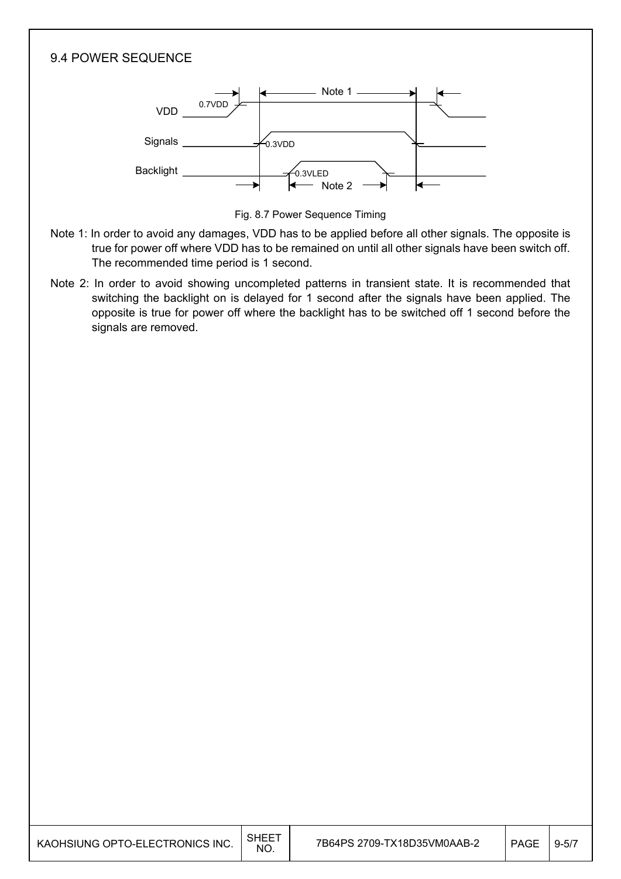



Fig. 8.7 Power Sequence Timing

- Note 1: In order to avoid any damages, VDD has to be applied before all other signals. The opposite is true for power off where VDD has to be remained on until all other signals have been switch off. The recommended time period is 1 second.
- Note 2: In order to avoid showing uncompleted patterns in transient state. It is recommended that switching the backlight on is delayed for 1 second after the signals have been applied. The opposite is true for power off where the backlight has to be switched off 1 second before the signals are removed.

| KAOHSIUNG OPTO-ELECTRONICS INC. | <b>SHEET</b><br>NO. | 7B64PS 2709-TX18D35VM0AAB-2 | <b>PAGE</b> | $9 - 5/7$ |
|---------------------------------|---------------------|-----------------------------|-------------|-----------|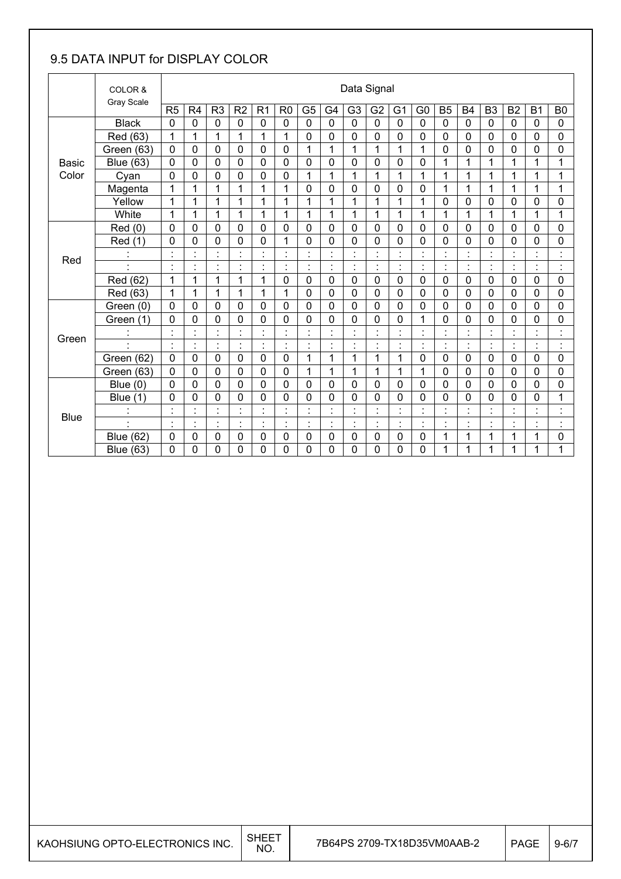### 9.5 DATA INPUT for DISPLAY COLOR

|              | COLOR &<br>Gray Scale    |                | Data Signal                      |                             |                           |                |                                  |                           |                                        |                |                |                                  |                                        |                                  |                      |                                  |                                            |                |                                  |
|--------------|--------------------------|----------------|----------------------------------|-----------------------------|---------------------------|----------------|----------------------------------|---------------------------|----------------------------------------|----------------|----------------|----------------------------------|----------------------------------------|----------------------------------|----------------------|----------------------------------|--------------------------------------------|----------------|----------------------------------|
|              |                          | R <sub>5</sub> | R <sub>4</sub>                   | R <sub>3</sub>              | R <sub>2</sub>            | R <sub>1</sub> | R <sub>0</sub>                   | G <sub>5</sub>            | G4                                     | G <sub>3</sub> | G <sub>2</sub> | G <sub>1</sub>                   | G <sub>0</sub>                         | <b>B5</b>                        | <b>B4</b>            | B <sub>3</sub>                   | <b>B2</b>                                  | <b>B1</b>      | B <sub>0</sub>                   |
|              | <b>Black</b>             | $\mathbf 0$    | 0                                | 0                           | $\mathbf 0$               | $\mathbf 0$    | 0                                | $\mathbf 0$               | $\mathbf 0$                            | $\mathbf 0$    | $\mathbf 0$    | 0                                | $\mathbf 0$                            | 0                                | 0                    | $\mathbf 0$                      | 0                                          | $\mathbf 0$    | $\mathbf 0$                      |
|              | Red (63)                 | 1              | 1                                | 1                           | 1                         | 1              | 1                                | 0                         | 0                                      | $\mathbf 0$    | $\mathbf 0$    | 0                                | 0                                      | 0                                | 0                    | 0                                | 0                                          | $\Omega$       | 0                                |
|              | Green (63)               | $\mathbf 0$    | 0                                | 0                           | 0                         | $\mathbf 0$    | $\mathbf 0$                      | 1                         | 1                                      | 1              | 1              | 1                                | 1                                      | 0                                | 0                    | 0                                | 0                                          | $\mathbf 0$    | 0                                |
| <b>Basic</b> | <b>Blue (63)</b>         | $\mathbf 0$    | $\mathbf 0$                      | 0                           | 0                         | $\mathbf 0$    | 0                                | $\mathbf 0$               | 0                                      | $\mathbf 0$    | $\mathbf 0$    | 0                                | 0                                      | 1                                | 1                    | 1                                | 1                                          | 1              | 1                                |
| Color        | Cyan                     | $\mathbf 0$    | 0                                | 0                           | 0                         | $\mathbf 0$    | 0                                | 1                         | 1                                      | 1              | 1              | 1                                | 1                                      | 1                                | 1                    | 1                                | 1                                          | 1              | 1                                |
|              | Magenta                  | 1              | 1                                | 1                           | 1                         | 1              | 1                                | $\mathbf 0$               | 0                                      | $\mathbf 0$    | $\mathbf 0$    | 0                                | 0                                      | 1                                | 1                    | 1                                | 1                                          | 1              | 1                                |
|              | Yellow                   | 1              | 1                                | 1                           | 1                         | 1              | 1                                | 1                         | 1                                      | 1              | 1              | 1                                | 1                                      | 0                                | 0                    | $\mathbf 0$                      | 0                                          | $\Omega$       | 0                                |
|              | White                    | 1              | 1                                | 1                           | 1                         | 1              | 1                                | 1                         | 1                                      | 1              | 1              | 1                                | $\mathbf{1}$                           | 1                                | 1                    | 1                                | 1                                          | 1              | 1                                |
|              | Red(0)                   | $\mathbf 0$    | 0                                | 0                           | 0                         | $\mathbf 0$    | 0                                | 0                         | 0                                      | $\mathbf 0$    | $\mathbf 0$    | 0                                | 0                                      | 0                                | 0                    | $\mathbf 0$                      | $\mathbf 0$                                | $\mathbf 0$    | 0                                |
|              | Red<br>(1)               | 0              | 0                                | 0                           | 0                         | $\mathbf 0$    | 1                                | 0                         | 0                                      | 0              | $\mathbf 0$    | 0                                | 0                                      | 0                                | 0                    | 0                                | 0                                          | $\mathbf 0$    | 0                                |
| Red          |                          | $\cdot$        | $\blacksquare$                   | $\blacksquare$              | $\cdot$                   | $\cdot$        | $\blacksquare$                   | $\blacksquare$<br>٠       | $\cdot$                                | $\cdot$        | $\blacksquare$ | $\blacksquare$                   | $\blacksquare$                         | $\blacksquare$                   | $\cdot$              | $\blacksquare$                   | $\blacksquare$<br>$\epsilon$               |                | $\blacksquare$                   |
|              |                          |                | $\blacksquare$                   |                             | $\ddot{\phantom{a}}$      | ä,             | $\blacksquare$<br>$\blacksquare$ | Ì,                        | $\ddot{\cdot}$                         |                |                | $\cdot$                          | $\cdot$<br>$\blacksquare$              | t                                | $\ddot{\cdot}$       | $\ddot{\cdot}$                   | ÷                                          | $\blacksquare$ | İ                                |
|              | Red (62)                 | 1              | 1                                | 1                           | $\mathbf{1}$              | 1              | 0                                | 0                         | $\mathbf 0$                            | $\mathbf 0$    | $\mathbf 0$    | 0                                | 0                                      | 0                                | $\mathbf 0$          | $\mathbf 0$                      | $\mathbf 0$                                | $\mathbf 0$    | 0                                |
|              | Red (63)                 | 1              | 1                                | 1                           | 1                         | 1              | 1                                | $\mathbf 0$               | 0                                      | $\mathbf 0$    | $\mathbf 0$    | 0                                | 0                                      | 0                                | $\mathbf 0$          | $\mathbf 0$                      | $\mathbf 0$                                | $\mathbf 0$    | 0                                |
|              | Green (0)                | $\mathbf 0$    | 0                                | 0                           | 0                         | $\mathbf 0$    | 0                                | 0                         | 0                                      | $\mathbf 0$    | $\mathbf 0$    | 0                                | 0                                      | 0                                | $\mathbf 0$          | $\mathbf 0$                      | $\mathbf 0$                                | $\mathbf 0$    | $\mathbf 0$                      |
|              | Green (1)                | 0              | 0                                | 0                           | 0                         | $\mathbf 0$    | 0                                | 0                         | 0                                      | 0              | $\mathbf 0$    | 0                                | 1                                      | 0                                | 0                    | 0                                | $\mathbf 0$                                | 0              | 0                                |
| Green        |                          |                | $\cdot$                          | $\blacksquare$              | $\cdot$                   | $\cdot$        | $\blacksquare$                   | $\blacksquare$<br>٠       | $\cdot$<br>٠                           | $\cdot$        |                | $\blacksquare$                   | $\blacksquare$<br>$\blacksquare$       | $\blacksquare$                   |                      | $\blacksquare$<br>٠              | $\blacksquare$<br>$\bullet$                |                | $\cdot$<br>٠                     |
|              | $\overline{\phantom{a}}$ | $\cdot$        | $\cdot$<br>$\blacksquare$        | $\blacksquare$<br>$\bullet$ | $\ddot{\cdot}$            | $\ddot{\cdot}$ | ł,                               | $\cdot$<br>ä,             | $\cdot$<br>ä,                          |                | $\blacksquare$ | $\cdot$<br>$\blacksquare$        | $\cdot$<br>$\cdot$                     | $\ddot{\cdot}$                   | $\blacksquare$<br>ä, | $\ddot{\phantom{a}}$             | $\ddot{\phantom{a}}$                       | $\cdot$        | $\cdot$<br>٠                     |
|              | Green (62)               | $\mathbf 0$    | 0                                | $\mathbf 0$                 | $\mathbf 0$               | $\mathbf 0$    | $\mathbf 0$                      | 1                         | 1                                      | 1              | $\mathbf{1}$   | 1                                | 0                                      | 0                                | $\mathbf 0$          | $\mathbf 0$                      | $\mathbf 0$                                | $\mathbf 0$    | 0                                |
|              | Green (63)               | $\mathbf 0$    | 0                                | $\mathbf 0$                 | $\mathbf 0$               | $\mathbf 0$    | 0                                | 1                         | 1                                      | 1              | 1              | 1                                | $\mathbf{1}$                           | 0                                | 0                    | $\mathbf 0$                      | $\mathbf 0$                                | $\mathbf 0$    | 0                                |
|              | Blue $(0)$               | $\mathbf{0}$   | 0                                | 0                           | 0                         | $\mathbf 0$    | 0                                | $\mathbf 0$               | 0                                      | $\mathbf 0$    | $\mathbf 0$    | 0                                | 0                                      | 0                                | 0                    | 0                                | $\mathbf 0$                                | $\mathbf 0$    | 0                                |
|              | <b>Blue</b><br>(1)       | $\mathbf 0$    | 0                                | 0                           | 0                         | $\mathbf 0$    | 0                                | 0                         | 0                                      | 0              | 0              | 0                                | 0                                      | 0                                | 0                    | 0                                | $\mathbf 0$                                | 0              | 1                                |
| <b>Blue</b>  |                          | $\cdot$        | $\blacksquare$<br>$\blacksquare$ |                             | $\cdot$<br>$\blacksquare$ |                | $\blacksquare$<br>$\blacksquare$ | $\blacksquare$<br>٠       | $\ddot{\phantom{0}}$<br>$\blacksquare$ |                |                | $\blacksquare$                   | $\cdot$<br>$\blacksquare$              | $\blacksquare$<br>$\blacksquare$ |                      | $\blacksquare$<br>٠              | $\blacksquare$<br>$\sim$                   |                | $\cdot$<br>$\blacksquare$        |
|              |                          | $\cdot$        | $\blacksquare$<br>$\blacksquare$ | $\blacksquare$              | $\cdot$<br>$\mathbf{r}$   | $\cdot$<br>٠   | $\blacksquare$<br>$\blacksquare$ | $\cdot$<br>$\blacksquare$ | $\cdot$<br>$\cdot$                     | $\cdot$        | $\blacksquare$ | $\blacksquare$<br>$\blacksquare$ | $\blacksquare$<br>$\ddot{\phantom{0}}$ | $\blacksquare$<br>٠              | $\blacksquare$       | $\blacksquare$<br>$\blacksquare$ | $\blacksquare$<br>$\overline{\phantom{a}}$ |                | $\blacksquare$<br>$\blacksquare$ |
|              | <b>Blue (62)</b>         | $\mathbf 0$    | 0                                | 0                           | 0                         | 0              | 0                                | $\mathbf 0$               | 0                                      | $\mathbf 0$    | $\mathbf 0$    | 0                                | 0                                      | 1                                | 1                    | 1                                | 1                                          | 1              | 0                                |
|              | <b>Blue (63)</b>         | $\Omega$       | 0                                | 0                           | 0                         | 0              | 0                                | 0                         | 0                                      | 0              | $\mathbf 0$    | 0                                | 0                                      | 1                                | 1                    | 1                                | 1                                          | 1              | 1                                |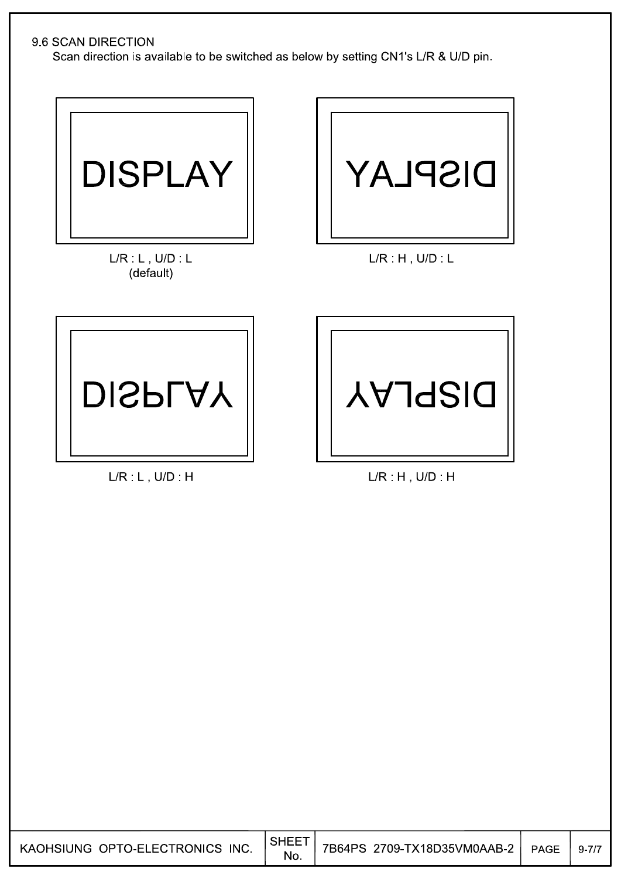#### 9.6 SCAN DIRECTION

Scan direction is available to be switched as below by setting CN1's L/R & U/D pin.



 $L/R: L$ ,  $U/D: L$ (default)



 $L/R$   $H$ ,  $U/D$   $L$ 



 $L/R$   $L$ ,  $U/D$   $H$ 



 $L/R$ : H, U/D: H

| KAOHSIUNG OPTO-ELECTRONICS INC. $\Big \substack{\text{SHEET} \ \text{No}}$ |
|----------------------------------------------------------------------------|
|----------------------------------------------------------------------------|

No.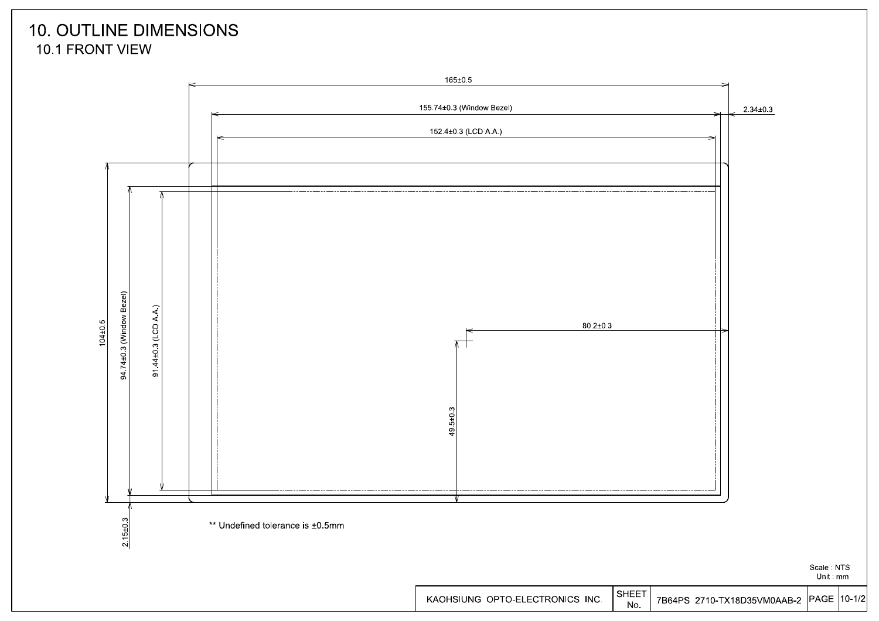### **10. OUTLINE DIMENSIONS** 10.1 FRONT VIEW



Unit mm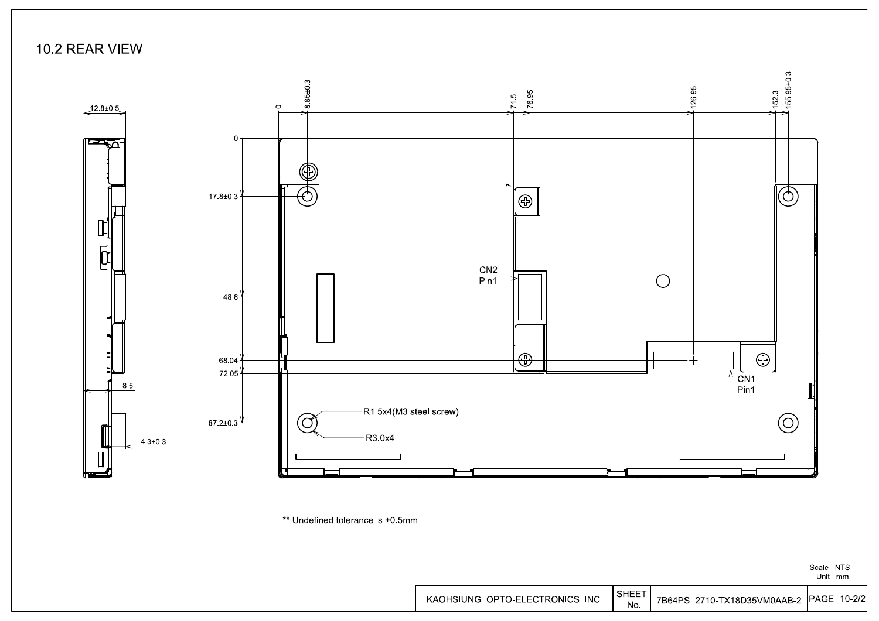

\*\* Undefined tolerance is ±0.5mm

Scale NTS Unit mm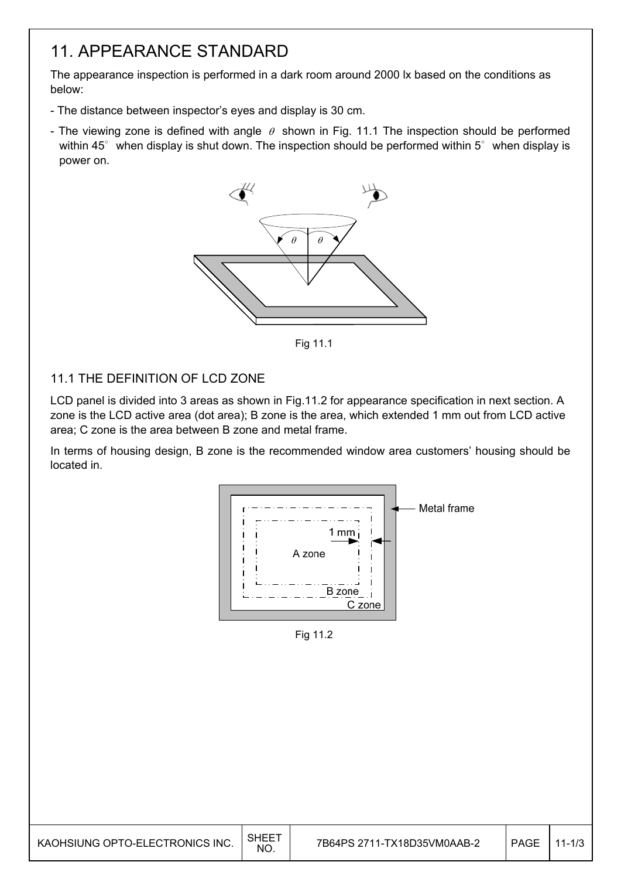## 11. APPEARANCE STANDARD

The appearance inspection is performed in a dark room around 2000 lx based on the conditions as below:

- The distance between inspector's eyes and display is 30 cm.
- The viewing zone is defined with angle  $\theta$  shown in Fig. 11.1 The inspection should be performed within 45 $^{\circ}$  when display is shut down. The inspection should be performed within 5 $^{\circ}$  when display is power on.



Fig. 12.1 Fig 11.1

#### 11.1 THE DEFINITION OF LCD ZONE

LCD panel is divided into 3 areas as shown in Fig.11.2 for appearance specification in next section. A zone is the LCD active area (dot area); B zone is the area, which extended 1 mm out from LCD active area; C zone is the area between B zone and metal frame.

In terms of housing design, B zone is the recommended window area customers' housing should be located in.



Fig 11.2

| KAOHSIUNG OPTO-ELECTRONICS INC. | <b>SHEET</b> | 7B64PS 2711-TX18D35VM0AAB-2 | <b>PAGE</b> | $1 - 1/3$ |
|---------------------------------|--------------|-----------------------------|-------------|-----------|
|                                 | NO.          |                             |             |           |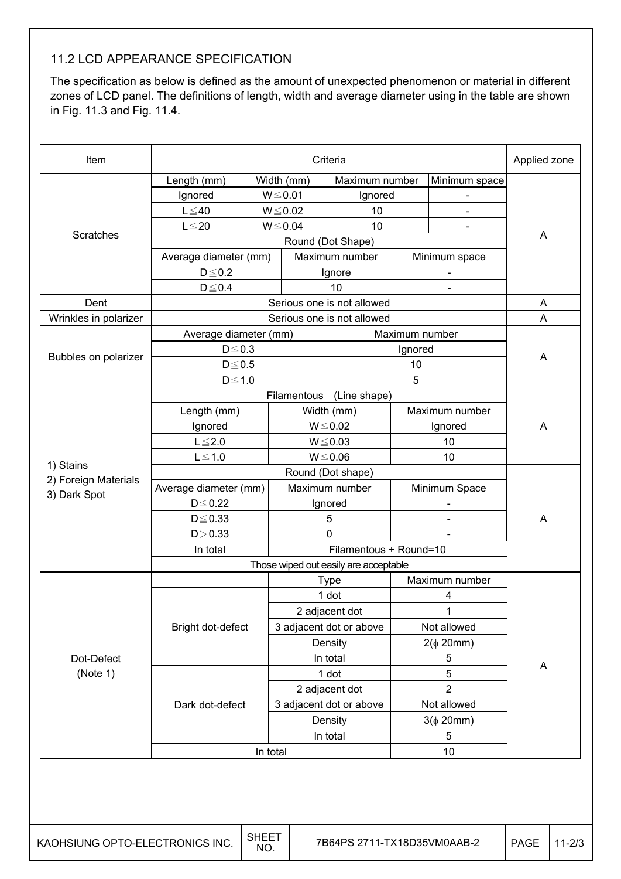### 11.2 LCD APPEARANCE SPECIFICATION

The specification as below is defined as the amount of unexpected phenomenon or material in different zones of LCD panel. The definitions of length, width and average diameter using in the table are shown in Fig. 11.3 and Fig. 11.4.

| Item                                 | Criteria              |          |                                       |                            |                |                          | Applied zone |
|--------------------------------------|-----------------------|----------|---------------------------------------|----------------------------|----------------|--------------------------|--------------|
|                                      | Length (mm)           |          | Width (mm)                            | Maximum number             |                | Minimum space            |              |
|                                      | Ignored               |          | $W \le 0.01$                          | Ignored                    |                |                          |              |
|                                      | $L \leq 40$           |          | $W \le 0.02$                          | 10                         |                |                          |              |
|                                      | $L \leq 20$           |          | $W \le 0.04$                          | 10                         |                |                          |              |
| Scratches                            |                       |          |                                       | Round (Dot Shape)          |                |                          | A            |
|                                      | Average diameter (mm) |          |                                       | Maximum number             |                | Minimum space            |              |
|                                      | $D \le 0.2$           |          |                                       | Ignore                     |                |                          |              |
|                                      | $D\!\leq\!0.4$        |          |                                       | 10                         |                | $\overline{\phantom{0}}$ |              |
| Dent                                 |                       |          |                                       | Serious one is not allowed |                |                          | A            |
| Wrinkles in polarizer                |                       |          |                                       | Serious one is not allowed |                |                          | A            |
|                                      | Average diameter (mm) |          |                                       |                            | Maximum number |                          |              |
|                                      | $D \le 0.3$           |          |                                       |                            | Ignored        |                          |              |
| Bubbles on polarizer                 | $D \le 0.5$           |          |                                       |                            | 10             |                          | A            |
|                                      | $D \le 1.0$           |          |                                       |                            | 5              |                          |              |
|                                      |                       |          | Filamentous                           | (Line shape)               |                |                          |              |
|                                      | Length (mm)           |          |                                       | Width (mm)                 |                | Maximum number           |              |
|                                      | Ignored               |          | $W \le 0.02$                          |                            | Ignored        |                          | A            |
|                                      | $L \leq 2.0$          |          | $W \le 0.03$                          |                            | 10             |                          |              |
|                                      | $L \leq 1.0$          |          |                                       | $W \le 0.06$               |                | 10                       |              |
| 1) Stains                            |                       |          |                                       |                            |                |                          |              |
| 2) Foreign Materials<br>3) Dark Spot | Average diameter (mm) |          |                                       | Maximum number             |                | Minimum Space            |              |
|                                      | $D \leq 0.22$         |          |                                       | Ignored                    |                |                          |              |
|                                      | $D \leq 0.33$         |          |                                       | 5                          |                |                          | A            |
|                                      | D > 0.33              |          | $\Omega$                              |                            |                |                          |              |
|                                      | In total              |          |                                       |                            |                |                          |              |
|                                      |                       |          | Those wiped out easily are acceptable |                            |                |                          |              |
|                                      |                       |          | <b>Type</b>                           |                            |                | Maximum number           |              |
|                                      |                       |          |                                       | 1 dot                      |                | 4                        |              |
|                                      |                       |          |                                       | 2 adjacent dot             |                | 1                        |              |
|                                      | Bright dot-defect     |          |                                       | 3 adjacent dot or above    |                | Not allowed              |              |
|                                      |                       |          |                                       | Density                    |                | $2(\phi 20mm)$           |              |
| Dot-Defect                           |                       |          |                                       | In total                   |                | 5                        | A            |
| (Note 1)                             |                       |          |                                       | 1 dot                      |                | 5                        |              |
|                                      |                       |          |                                       | 2 adjacent dot             |                | $\overline{2}$           |              |
|                                      | Dark dot-defect       |          |                                       | 3 adjacent dot or above    |                | Not allowed              |              |
|                                      |                       |          |                                       | Density                    |                | $3(\phi 20mm)$           |              |
|                                      |                       |          |                                       | In total                   |                | 5                        |              |
|                                      |                       | In total |                                       |                            | 10             |                          |              |
|                                      |                       |          |                                       |                            |                |                          |              |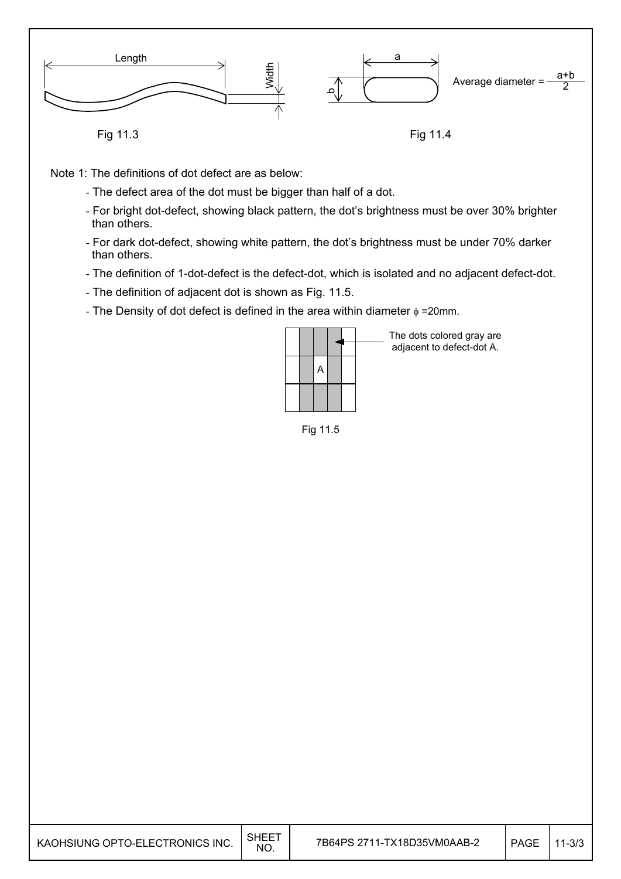

Fig 11.3

Fig 11.4

Note 1: The definitions of dot defect are as below:

- The defect area of the dot must be bigger than half of a dot.
- For bright dot-defect, showing black pattern, the dot's brightness must be over 30% brighter than others.
- For dark dot-defect, showing white pattern, the dot's brightness must be under 70% darker than others.
- The definition of 1-dot-defect is the defect-dot, which is isolated and no adjacent defect-dot.
- The definition of adjacent dot is shown as Fig. 11.5.
- The Density of dot defect is defined in the area within diameter  $\phi$  =20mm.

|  | A |  |  |
|--|---|--|--|
|  |   |  |  |

The dots colored gray are adjacent to defect-dot A.

Fig 11.5

| KAOHSIUNG OPTO-ELECTRONICS INC. | , SHEE <sup>7</sup><br><b>NO</b> | 7B64PS 2711-TX18D35VM0AAB-2 | PAGE | $11 - 3/3$ |
|---------------------------------|----------------------------------|-----------------------------|------|------------|
|                                 |                                  |                             |      |            |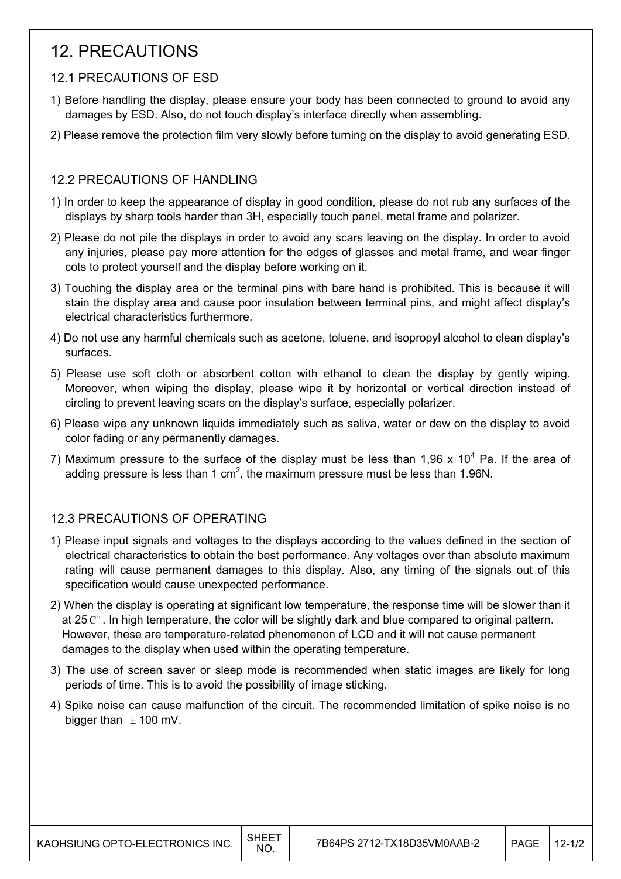## 12. PRECAUTIONS

#### 12.1 PRECAUTIONS OF ESD

- 1) Before handling the display, please ensure your body has been connected to ground to avoid any damages by ESD. Also, do not touch display's interface directly when assembling.
- 2) Please remove the protection film very slowly before turning on the display to avoid generating ESD.

#### 12.2 PRECAUTIONS OF HANDLING

- 1) In order to keep the appearance of display in good condition, please do not rub any surfaces of the displays by sharp tools harder than 3H, especially touch panel, metal frame and polarizer.
- 2) Please do not pile the displays in order to avoid any scars leaving on the display. In order to avoid any injuries, please pay more attention for the edges of glasses and metal frame, and wear finger cots to protect yourself and the display before working on it.
- 3) Touching the display area or the terminal pins with bare hand is prohibited. This is because it will stain the display area and cause poor insulation between terminal pins, and might affect display's electrical characteristics furthermore.
- 4) Do not use any harmful chemicals such as acetone, toluene, and isopropyl alcohol to clean display's surfaces.
- 5) Please use soft cloth or absorbent cotton with ethanol to clean the display by gently wiping. Moreover, when wiping the display, please wipe it by horizontal or vertical direction instead of circling to prevent leaving scars on the display's surface, especially polarizer.
- 6) Please wipe any unknown liquids immediately such as saliva, water or dew on the display to avoid color fading or any permanently damages.
- 7) Maximum pressure to the surface of the display must be less than 1,96 x 10<sup>4</sup> Pa. If the area of adding pressure is less than 1 cm<sup>2</sup>, the maximum pressure must be less than 1.96N.

### 12.3 PRECAUTIONS OF OPERATING

- 1) Please input signals and voltages to the displays according to the values defined in the section of electrical characteristics to obtain the best performance. Any voltages over than absolute maximum rating will cause permanent damages to this display. Also, any timing of the signals out of this specification would cause unexpected performance.
- 2) When the display is operating at significant low temperature, the response time will be slower than it at 25  $\mathrm{C}^{\circ}$ . In high temperature, the color will be slightly dark and blue compared to original pattern. However, these are temperature-related phenomenon of LCD and it will not cause permanent damages to the display when used within the operating temperature.
- 3) The use of screen saver or sleep mode is recommended when static images are likely for long periods of time. This is to avoid the possibility of image sticking.
- 4) Spike noise can cause malfunction of the circuit. The recommended limitation of spike noise is no bigger than  $\pm$  100 mV.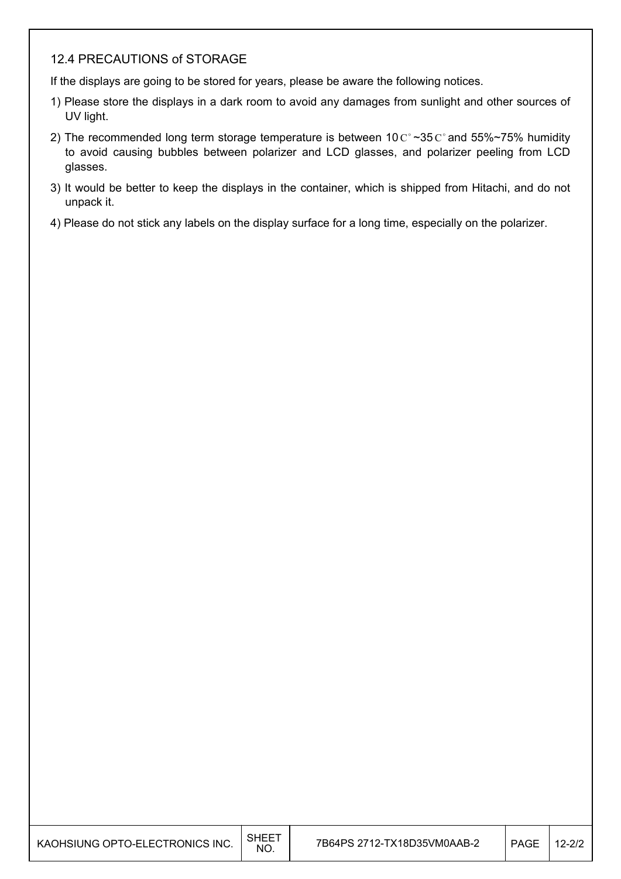#### 12.4 PRECAUTIONS of STORAGE

If the displays are going to be stored for years, please be aware the following notices.

- 1) Please store the displays in a dark room to avoid any damages from sunlight and other sources of UV light.
- 2) The recommended long term storage temperature is between 10  $C^{\circ}$  ~35  $C^{\circ}$  and 55%~75% humidity to avoid causing bubbles between polarizer and LCD glasses, and polarizer peeling from LCD glasses.
- 3) It would be better to keep the displays in the container, which is shipped from Hitachi, and do not unpack it.
- 4) Please do not stick any labels on the display surface for a long time, especially on the polarizer.

| KAOHSIUNG OPTO-ELECTRONICS INC. | SHEET<br>NO. | 7B64PS 2712-TX18D35VM0AAB-2 | PAGE | $12 - 2/2$ |
|---------------------------------|--------------|-----------------------------|------|------------|